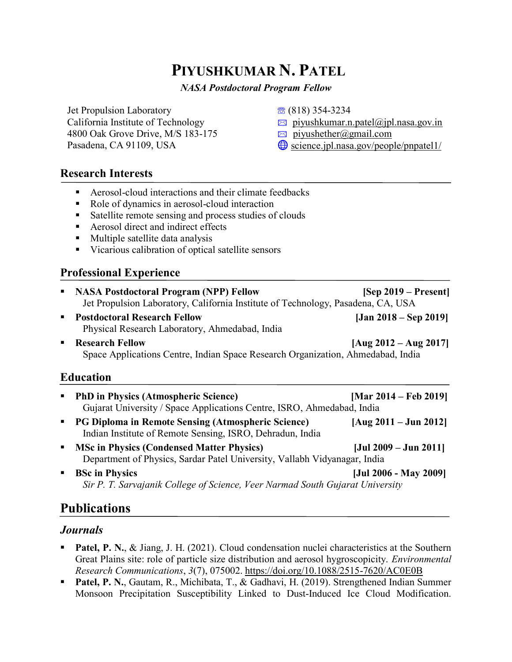# **PIYUSHKUMAR N. PATEL**

*NASA Postdoctoral Program Fellow*

Jet Propulsion Laboratory California Institute of Technology 4800 Oak Grove Drive, M/S 183-175 Pasadena, CA 91109, USA

☏ (818) 354-3234

- $\boxtimes$  [piyushkumar.n.patel@jpl.nasa.gov.in](mailto:piyushkumar.n.patel@jpl.nasa.gov.in)
- $\boxtimes$  [piyushether@gmail.com](mailto:piyushether@gmail.com)
- $\bigoplus$  [science.jpl.nasa.gov/people/pnpatel1/](https://science.jpl.nasa.gov/people/PPatel1/)

#### **Research Interests**

- Aerosol-cloud interactions and their climate feedbacks
- Role of dynamics in aerosol-cloud interaction
- Satellite remote sensing and process studies of clouds
- Aerosol direct and indirect effects
- Multiple satellite data analysis
- Vicarious calibration of optical satellite sensors

#### **Professional Experience**

| $\mathbf{H}^{\text{max}}$ | <b>NASA Postdoctoral Program (NPP) Fellow</b>                                    | $[Sep 2019 - Present]$  |
|---------------------------|----------------------------------------------------------------------------------|-------------------------|
|                           | Jet Propulsion Laboratory, California Institute of Technology, Pasadena, CA, USA |                         |
| $\mathbf{r}$              | <b>Postdoctoral Research Fellow</b>                                              | $ Jan 2018 - Sep 2019 $ |
|                           | Physical Research Laboratory, Ahmedabad, India                                   |                         |
|                           | <b>Research Fellow</b>                                                           | $[Aug 2012 - Aug 2017]$ |
|                           | Space Applications Centre, Indian Space Research Organization, Ahmedabad, India  |                         |

#### **Education**

| $\blacksquare$ | <b>PhD in Physics (Atmospheric Science)</b>                                                                                   | [Mar $2014 -$ Feb 2019] |  |
|----------------|-------------------------------------------------------------------------------------------------------------------------------|-------------------------|--|
|                | Gujarat University / Space Applications Centre, ISRO, Ahmedabad, India                                                        |                         |  |
| $\blacksquare$ | <b>PG Diploma in Remote Sensing (Atmospheric Science)</b><br>Indian Institute of Remote Sensing, ISRO, Dehradun, India        | $[Aug 2011 - Jun 2012]$ |  |
| a s            | <b>MSc in Physics (Condensed Matter Physics)</b><br>Department of Physics, Sardar Patel University, Vallabh Vidyanagar, India | $[Jul 2009 - Jun 2011]$ |  |
| $\blacksquare$ | <b>BSc in Physics</b>                                                                                                         | [Jul 2006 - May 2009]   |  |
|                | Sir P. T. Sarvajanik College of Science, Veer Narmad South Gujarat University                                                 |                         |  |

### **Publications**

#### *Journals*

- Patel, P. N., & Jiang, J. H. (2021). Cloud condensation nuclei characteristics at the Southern Great Plains site: role of particle size distribution and aerosol hygroscopicity. *Environmental Research Communications*, *3*(7), 075002.<https://doi.org/10.1088/2515-7620/AC0E0B>
- **Patel, P. N.**, Gautam, R., Michibata, T., & Gadhavi, H. (2019). Strengthened Indian Summer Monsoon Precipitation Susceptibility Linked to Dust‐Induced Ice Cloud Modification.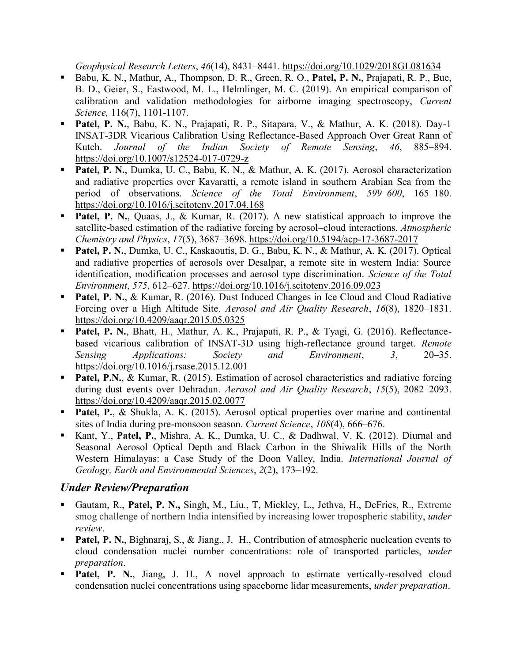*Geophysical Research Letters*, *46*(14), 8431–8441.<https://doi.org/10.1029/2018GL081634>

- Babu, K. N., Mathur, A., Thompson, D. R., Green, R. O., **Patel, P. N.**, Prajapati, R. P., Bue, B. D., Geier, S., Eastwood, M. L., Helmlinger, M. C. (2019). An empirical comparison of calibration and validation methodologies for airborne imaging spectroscopy, *Current Science,* 116(7), 1101-1107.
- **Patel, P. N.**, Babu, K. N., Prajapati, R. P., Sitapara, V., & Mathur, A. K. (2018). Day-1 INSAT-3DR Vicarious Calibration Using Reflectance-Based Approach Over Great Rann of Kutch. *Journal of the Indian Society of Remote Sensing*, *46*, 885–894. <https://doi.org/10.1007/s12524-017-0729-z>
- Patel, P. N., Dumka, U. C., Babu, K. N., & Mathur, A. K. (2017). Aerosol characterization and radiative properties over Kavaratti, a remote island in southern Arabian Sea from the period of observations. *Science of the Total Environment*, *599*–*600*, 165–180. <https://doi.org/10.1016/j.scitotenv.2017.04.168>
- **Patel, P. N.**, Quaas, J., & Kumar, R. (2017). A new statistical approach to improve the satellite-based estimation of the radiative forcing by aerosol–cloud interactions. *Atmospheric Chemistry and Physics*, *17*(5), 3687–3698.<https://doi.org/10.5194/acp-17-3687-2017>
- Patel, P. N., Dumka, U. C., Kaskaoutis, D. G., Babu, K. N., & Mathur, A. K. (2017). Optical and radiative properties of aerosols over Desalpar, a remote site in western India: Source identification, modification processes and aerosol type discrimination. *Science of the Total Environment*, *575*, 612–627.<https://doi.org/10.1016/j.scitotenv.2016.09.023>
- **Patel, P. N., & Kumar, R.** (2016). Dust Induced Changes in Ice Cloud and Cloud Radiative Forcing over a High Altitude Site. *Aerosol and Air Quality Research*, *16*(8), 1820–1831. <https://doi.org/10.4209/aaqr.2015.05.0325>
- **Patel, P. N.**, Bhatt, H., Mathur, A. K., Prajapati, R. P., & Tyagi, G. (2016). Reflectancebased vicarious calibration of INSAT-3D using high-reflectance ground target. *Remote Sensing Applications: Society and Environment*, *3*, 20–35. <https://doi.org/10.1016/j.rsase.2015.12.001>
- **Patel, P.N., & Kumar, R.** (2015). Estimation of aerosol characteristics and radiative forcing during dust events over Dehradun. *Aerosol and Air Quality Research*, *15*(5), 2082–2093. <https://doi.org/10.4209/aaqr.2015.02.0077>
- **Patel, P., & Shukla, A. K.** (2015). Aerosol optical properties over marine and continental sites of India during pre-monsoon season. *Current Science*, *108*(4), 666–676.
- Kant, Y., Patel, P., Mishra, A. K., Dumka, U. C., & Dadhwal, V. K. (2012). Diurnal and Seasonal Aerosol Optical Depth and Black Carbon in the Shiwalik Hills of the North Western Himalayas: a Case Study of the Doon Valley, India. *International Journal of Geology, Earth and Environmental Sciences*, *2*(2), 173–192.

### *Under Review/Preparation*

- Gautam, R., Patel, P. N., Singh, M., Liu., T. Mickley, L., Jethva, H., DeFries, R., Extreme smog challenge of northern India intensified by increasing lower tropospheric stability, *under review*.
- **Patel, P. N.**, Bighnaraj, S., & Jiang., J. H., Contribution of atmospheric nucleation events to cloud condensation nuclei number concentrations: role of transported particles, *under preparation*.
- **Patel, P. N.**, Jiang, J. H., A novel approach to estimate vertically-resolved cloud condensation nuclei concentrations using spaceborne lidar measurements, *under preparation*.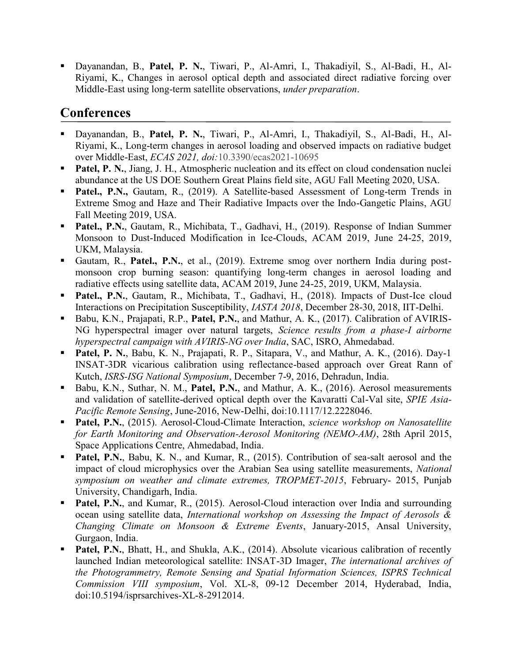▪ Dayanandan, B., **Patel, P. N.**, Tiwari, P., Al-Amri, I., Thakadiyil, S., Al-Badi, H., Al-Riyami, K., Changes in aerosol optical depth and associated direct radiative forcing over Middle-East using long-term satellite observations, *under preparation*.

### **Conferences**

- Dayanandan, B., **Patel, P. N.**, Tiwari, P., Al-Amri, I., Thakadiyil, S., Al-Badi, H., Al-Riyami, K., Long-term changes in aerosol loading and observed impacts on radiative budget over Middle-East, *ECAS 2021, doi:*10.3390/ecas2021-10695
- **Patel, P. N., Jiang, J. H., Atmospheric nucleation and its effect on cloud condensation nuclei** [abundance at the US DOE Southern Great Plains field site,](https://ui.adsabs.harvard.edu/abs/2020AGUFMA028...06P/abstract) AGU Fall Meeting 2020, USA.
- **Patel., P.N.,** Gautam, R., (2019). A Satellite-based Assessment of Long-term Trends in Extreme Smog and Haze and Their Radiative Impacts over the Indo-Gangetic Plains, AGU Fall Meeting 2019, USA.
- **Patel., P.N.**, Gautam, R., Michibata, T., Gadhavi, H., (2019). Response of Indian Summer Monsoon to Dust-Induced Modification in Ice-Clouds, ACAM 2019, June 24-25, 2019, UKM, Malaysia.
- Gautam, R., **Patel., P.N.**, et al., (2019). Extreme smog over northern India during postmonsoon crop burning season: quantifying long-term changes in aerosol loading and radiative effects using satellite data, ACAM 2019, June 24-25, 2019, UKM, Malaysia.
- **Patel., P.N.**, Gautam, R., Michibata, T., Gadhavi, H., (2018). Impacts of Dust-Ice cloud Interactions on Precipitation Susceptibility, *IASTA 2018*, December 28-30, 2018, IIT-Delhi.
- Babu, K.N., Prajapati, R.P., Patel, P.N., and Mathur, A. K., (2017). Calibration of AVIRIS-NG hyperspectral imager over natural targets, *Science results from a phase-I airborne hyperspectral campaign with AVIRIS-NG over India*, SAC, ISRO, Ahmedabad.
- **Patel, P. N.**, Babu, K. N., Prajapati, R. P., Sitapara, V., and Mathur, A. K., (2016). Day-1 INSAT-3DR vicarious calibration using reflectance-based approach over Great Rann of Kutch, *ISRS-ISG National Symposium*, December 7-9, 2016, Dehradun, India.
- Babu, K.N., Suthar, N. M., Patel, P.N., and Mathur, A. K., (2016). Aerosol measurements and validation of satellite-derived optical depth over the Kavaratti Cal-Val site, *SPIE Asia-Pacific Remote Sensing*, June-2016, New-Delhi, doi:10.1117/12.2228046.
- **Patel, P.N.**, (2015). Aerosol-Cloud-Climate Interaction, *science workshop on Nanosatellite for Earth Monitoring and Observation-Aerosol Monitoring (NEMO-AM)*, 28th April 2015, Space Applications Centre, Ahmedabad, India.
- **Patel, P.N.**, Babu, K. N., and Kumar, R., (2015). Contribution of sea-salt aerosol and the impact of cloud microphysics over the Arabian Sea using satellite measurements, *National symposium on weather and climate extremes, TROPMET-2015*, February- 2015, Punjab University, Chandigarh, India.
- Patel, P.N., and Kumar, R., (2015). Aerosol-Cloud interaction over India and surrounding ocean using satellite data, *International workshop on Assessing the Impact of Aerosols & Changing Climate on Monsoon & Extreme Events*, January-2015, Ansal University, Gurgaon, India.
- Patel, P.N., Bhatt, H., and Shukla, A.K., (2014). Absolute vicarious calibration of recently launched Indian meteorological satellite: INSAT-3D Imager, *The international archives of the Photogrammetry, Remote Sensing and Spatial Information Sciences, ISPRS Technical Commission VIII symposium*, Vol. XL-8, 09-12 December 2014, Hyderabad, India, doi:10.5194/isprsarchives-XL-8-2912014.